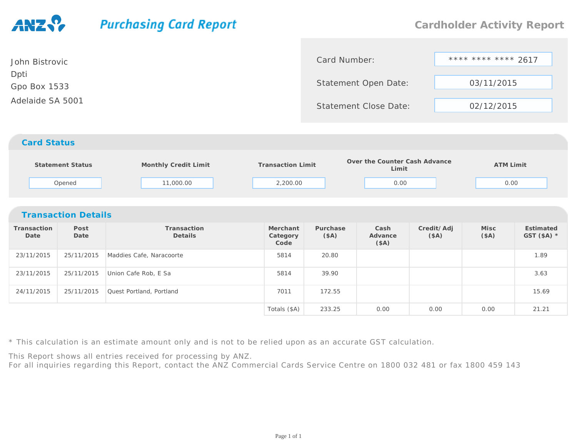## **Purchasing Card Report Cardholder Activity Report**\*\*\*\* \*\*\*\* \*\*\*\* 2617 Card Number:John BistrovicDptiStatement Open Date: 03/11/2015Gpo Box 1533Adelaide SA 5001Statement Close Date: 02/12/2015*Card Status* **Monthly Credit Limit Transaction Limit Over the Counter Cash Advance LimitStatement Status ATM Limit** Opened 11,000.00 2,200.00 0.00 0.00 *Transaction Details***Transaction PostTransactionMerchantPurchaseCashCredit/AdjMiscEstimatedDate DateDetails Category(\$A)(\$A) Advance (\$A) GST (\$A) \*Code(\$A)**23/11/2015 25/11/2015 Maddies Cafe, Naracoorte <sup>5814</sup> 20.80 1.89 23/11/2015 25/11/2015 Union Cafe Rob, E Sa <sup>5814</sup> 39.90 3.63 24/11/20155 25/11/2015 Quest Portland, Portland 17011 172.55 25/11/2015 25/11/2015 25.69 Totals (\$A) 233.250.00 0.00 0.00 21.21

\* This calculation is an estimate amount only and is not to be relied upon as an accurate GST calculation.

This Report shows all entries received for processing by ANZ.

For all inquiries regarding this Report, contact the ANZ Commercial Cards Service Centre on 1800 032 481 or fax 1800 459 143